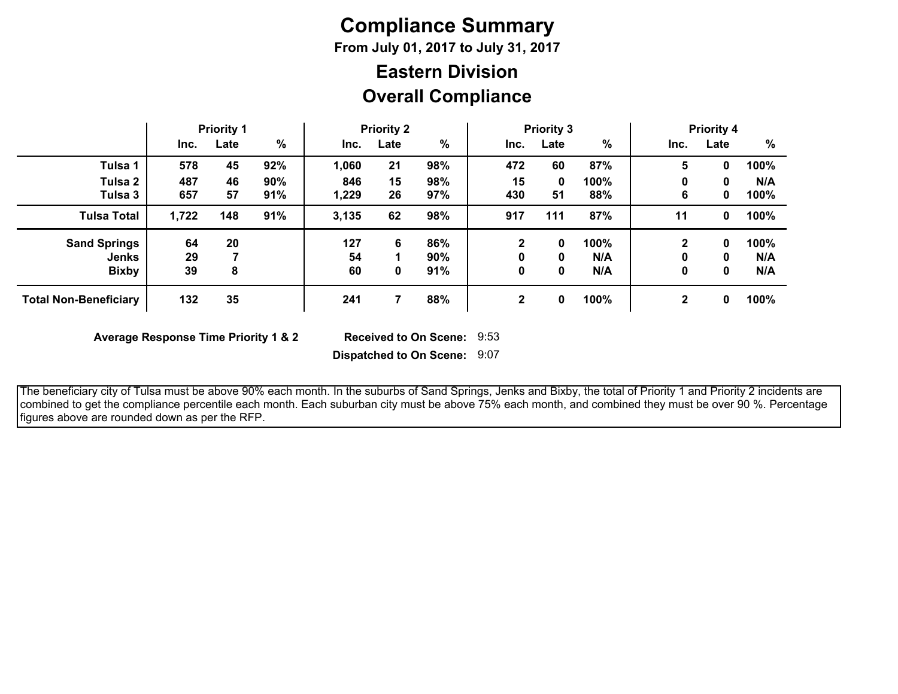# **Compliance Summary**

**From July 01, 2017 to July 31, 2017**

## **Overall Compliance Eastern Division**

|                                                     | <b>Priority 1</b> |          | <b>Priority 2</b> |                 | <b>Priority 3</b> |                   |                        | <b>Priority 4</b> |                    |             |             |                    |
|-----------------------------------------------------|-------------------|----------|-------------------|-----------------|-------------------|-------------------|------------------------|-------------------|--------------------|-------------|-------------|--------------------|
|                                                     | Inc.              | Late     | %                 | Inc.            | Late              | %                 | Inc.                   | Late              | %                  | Inc.        | Late        | %                  |
| Tulsa 1                                             | 578               | 45       | 92%               | 1,060           | 21                | 98%               | 472                    | 60                | 87%                | 5           | 0           | 100%               |
| Tulsa 2<br>Tulsa 3                                  | 487<br>657        | 46<br>57 | 90%<br>91%        | 846<br>1,229    | 15<br>26          | 98%<br>97%        | 15<br>430              | 0<br>51           | 100%<br>88%        | 0<br>6      | 0<br>0      | N/A<br>100%        |
| <b>Tulsa Total</b>                                  | 1,722             | 148      | 91%               | 3,135           | 62                | 98%               | 917                    | 111               | 87%                | 11          | 0           | 100%               |
| <b>Sand Springs</b><br><b>Jenks</b><br><b>Bixby</b> | 64<br>29<br>39    | 20<br>8  |                   | 127<br>54<br>60 | 6<br>0            | 86%<br>90%<br>91% | $\mathbf{2}$<br>0<br>0 | 0<br>0<br>0       | 100%<br>N/A<br>N/A | 2<br>0<br>0 | 0<br>0<br>0 | 100%<br>N/A<br>N/A |
| <b>Total Non-Beneficiary</b>                        | 132               | 35       |                   | 241             |                   | 88%               | $\mathbf{2}$           | 0                 | 100%               | $\mathbf 2$ | 0           | 100%               |

**Average Response Time Priority 1 & 2** 

Received to On Scene: 9:53

**Dispatched to On Scene:** 9:07

 The beneficiary city of Tulsa must be above 90% each month. In the suburbs of Sand Springs, Jenks and Bixby, the total of Priority 1 and Priority 2 incidents are combined to get the compliance percentile each month. Each suburban city must be above 75% each month, and combined they must be over 90 %. Percentage figures above are rounded down as per the RFP.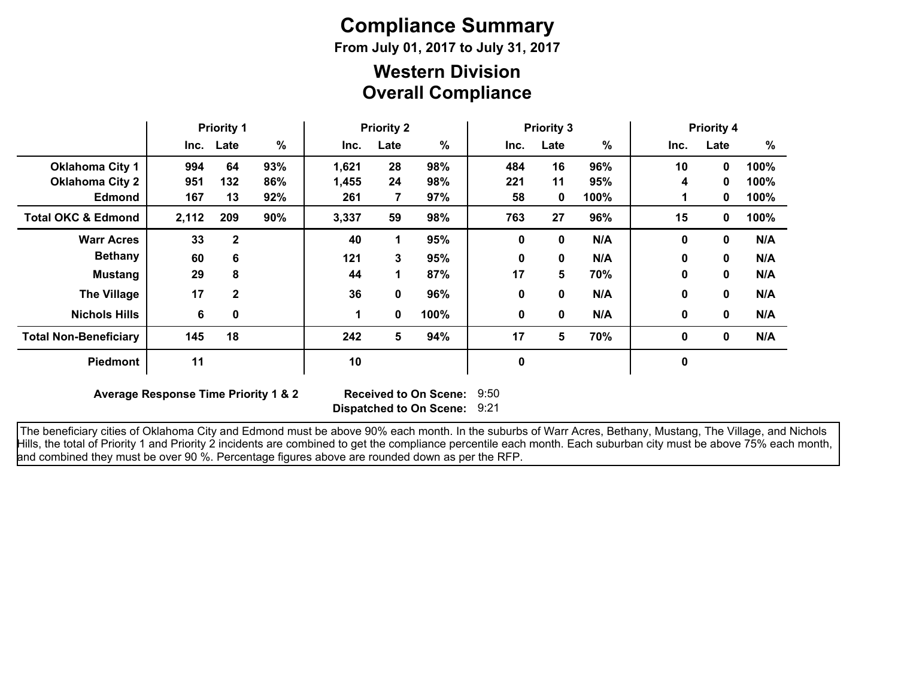# **Compliance Summary**

**From July 01, 2017 to July 31, 2017**

### **Overall Compliance Western Division**

|                               | <b>Priority 1</b> |              | <b>Priority 2</b> |       | <b>Priority 3</b> |      |      |             | <b>Priority 4</b> |              |              |      |
|-------------------------------|-------------------|--------------|-------------------|-------|-------------------|------|------|-------------|-------------------|--------------|--------------|------|
|                               |                   | Inc. Late    | %                 | Inc.  | Late              | %    | Inc. | Late        | $\frac{9}{6}$     | Inc.         | Late         | %    |
| <b>Oklahoma City 1</b>        | 994               | 64           | 93%               | 1,621 | 28                | 98%  | 484  | 16          | 96%               | 10           | $\mathbf{0}$ | 100% |
| <b>Oklahoma City 2</b>        | 951               | 132          | 86%               | 1,455 | 24                | 98%  | 221  | 11          | 95%               | 4            | 0            | 100% |
| <b>Edmond</b>                 | 167               | 13           | 92%               | 261   | 7                 | 97%  | 58   | 0           | 100%              |              | 0            | 100% |
| <b>Total OKC &amp; Edmond</b> | 2,112             | 209          | 90%               | 3,337 | 59                | 98%  | 763  | 27          | 96%               | 15           | 0            | 100% |
| <b>Warr Acres</b>             | 33                | $\mathbf{2}$ |                   | 40    | 1                 | 95%  | 0    | $\bf{0}$    | N/A               | $\bf{0}$     | 0            | N/A  |
| <b>Bethany</b>                | 60                | 6            |                   | 121   | 3                 | 95%  | 0    | $\bf{0}$    | N/A               | $\bf{0}$     | 0            | N/A  |
| <b>Mustang</b>                | 29                | 8            |                   | 44    | 1                 | 87%  | 17   | 5           | 70%               | $\bf{0}$     | 0            | N/A  |
| <b>The Village</b>            | 17                | $\mathbf{2}$ |                   | 36    | 0                 | 96%  | 0    | $\mathbf 0$ | N/A               | $\mathbf{0}$ | 0            | N/A  |
| <b>Nichols Hills</b>          | 6                 | 0            |                   |       | 0                 | 100% | 0    | 0           | N/A               | 0            | 0            | N/A  |
| <b>Total Non-Beneficiary</b>  | 145               | 18           |                   | 242   | 5                 | 94%  | 17   | 5           | 70%               | $\mathbf 0$  | 0            | N/A  |
| <b>Piedmont</b>               | 11                |              |                   | 10    |                   |      | 0    |             |                   | 0            |              |      |

**Average Response Time Priority 1 & 2** 

**Dispatched to On Scene:** 9:21 Received to On Scene: 9:50

 The beneficiary cities of Oklahoma City and Edmond must be above 90% each month. In the suburbs of Warr Acres, Bethany, Mustang, The Village, and Nichols Hills, the total of Priority 1 and Priority 2 incidents are combined to get the compliance percentile each month. Each suburban city must be above 75% each month, and combined they must be over 90 %. Percentage figures above are rounded down as per the RFP.